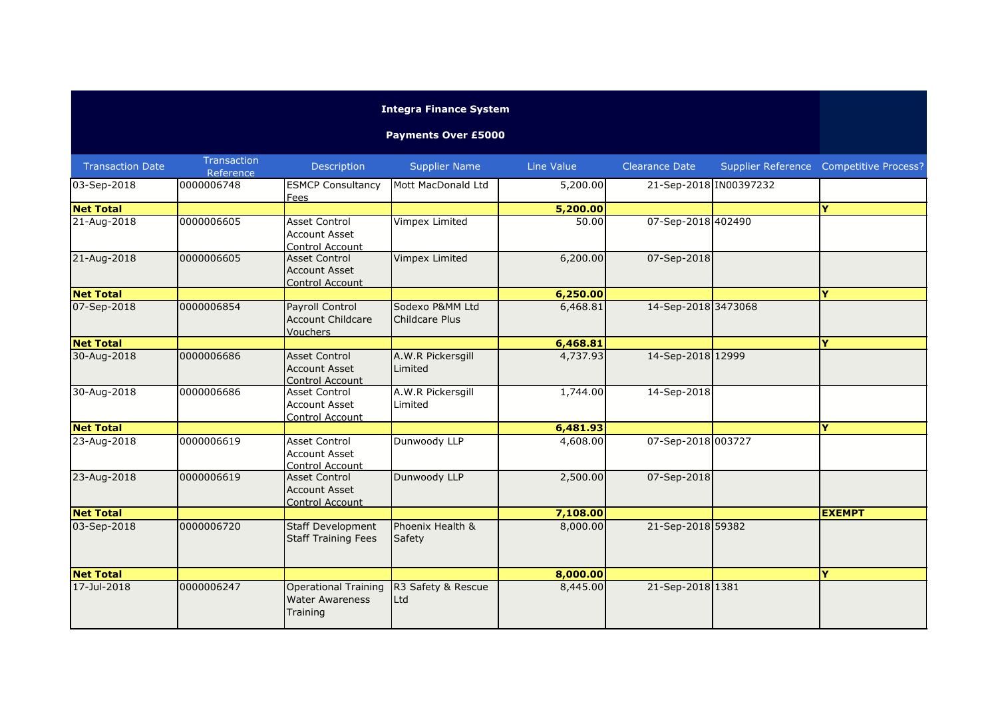## **Integra Finance System**

## **Payments Over £5000**

| <b>Transaction Date</b> | <b>Transaction</b><br>Reference | Description                                                            | <b>Supplier Name</b>                     | <b>Line Value</b> | <b>Clearance Date</b>  | Supplier Reference Competitive Process? |
|-------------------------|---------------------------------|------------------------------------------------------------------------|------------------------------------------|-------------------|------------------------|-----------------------------------------|
| 03-Sep-2018             | 0000006748                      | <b>ESMCP Consultancy</b><br>Fees                                       | Mott MacDonald Ltd                       | 5,200.00          | 21-Sep-2018 IN00397232 |                                         |
| <b>Net Total</b>        |                                 |                                                                        |                                          | 5,200.00          |                        | Y                                       |
| 21-Aug-2018             | 0000006605                      | <b>Asset Control</b><br><b>Account Asset</b><br>Control Account        | Vimpex Limited                           | 50.00             | 07-Sep-2018 402490     |                                         |
| 21-Aug-2018             | 0000006605                      | <b>Asset Control</b><br><b>Account Asset</b><br><b>Control Account</b> | Vimpex Limited                           | 6,200.00          | 07-Sep-2018            |                                         |
| <b>Net Total</b>        |                                 |                                                                        |                                          | 6,250.00          |                        | Ý                                       |
| 07-Sep-2018             | 0000006854                      | Payroll Control<br><b>Account Childcare</b><br><b>Vouchers</b>         | Sodexo P&MM Ltd<br><b>Childcare Plus</b> | 6,468.81          | 14-Sep-2018 3473068    |                                         |
| <b>Net Total</b>        |                                 |                                                                        |                                          | 6,468.81          |                        | Y                                       |
| 30-Aug-2018             | 0000006686                      | <b>Asset Control</b><br><b>Account Asset</b><br>Control Account        | A.W.R Pickersgill<br>Limited             | 4,737.93          | 14-Sep-2018 12999      |                                         |
| 30-Aug-2018             | 0000006686                      | <b>Asset Control</b><br><b>Account Asset</b><br>Control Account        | A.W.R Pickersgill<br>Limited             | 1,744.00          | 14-Sep-2018            |                                         |
| <b>Net Total</b>        |                                 |                                                                        |                                          | 6,481.93          |                        | Ý                                       |
| 23-Aug-2018             | 0000006619                      | <b>Asset Control</b><br><b>Account Asset</b><br>Control Account        | Dunwoody LLP                             | 4,608.00          | 07-Sep-2018 003727     |                                         |
| 23-Aug-2018             | 0000006619                      | <b>Asset Control</b><br><b>Account Asset</b><br>Control Account        | Dunwoody LLP                             | 2,500.00          | 07-Sep-2018            |                                         |
| <b>Net Total</b>        |                                 |                                                                        |                                          | 7,108.00          |                        | <b>EXEMPT</b>                           |
| 03-Sep-2018             | 0000006720                      | <b>Staff Development</b><br><b>Staff Training Fees</b>                 | Phoenix Health &<br>Safety               | 8,000.00          | 21-Sep-2018 59382      |                                         |
| <b>Net Total</b>        |                                 |                                                                        |                                          | 8,000.00          |                        | Ÿ                                       |
| 17-Jul-2018             | 0000006247                      | <b>Operational Training</b><br><b>Water Awareness</b><br>Training      | R3 Safety & Rescue<br>Ltd                | 8,445.00          | 21-Sep-2018 1381       |                                         |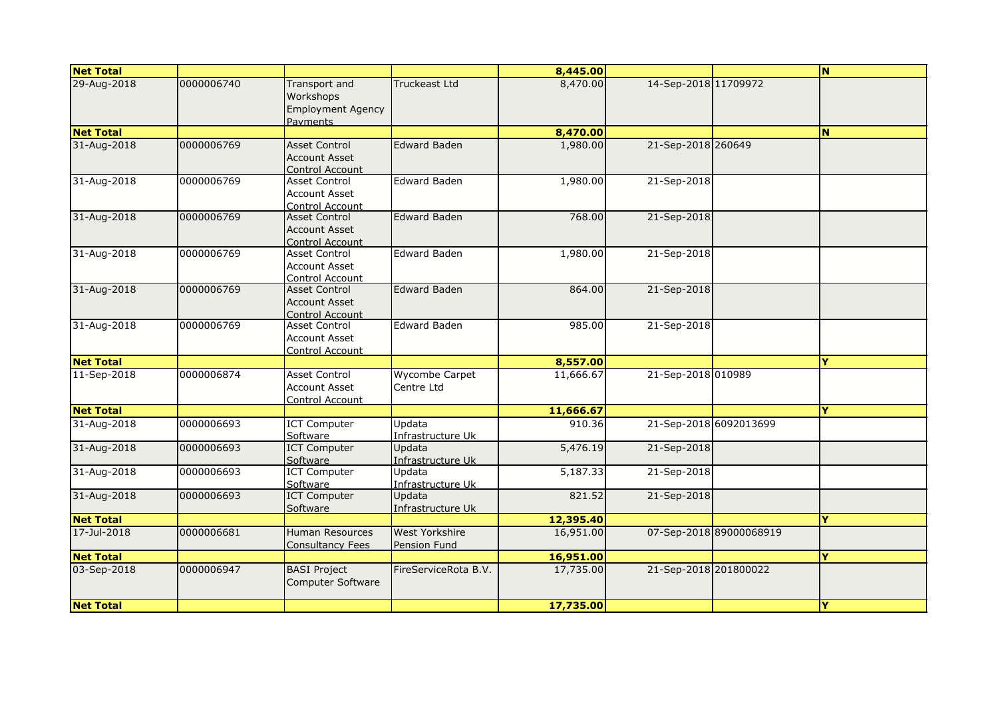| <b>Net Total</b> |            |                                                                    |                                | 8,445.00  |                        |                         | N.       |
|------------------|------------|--------------------------------------------------------------------|--------------------------------|-----------|------------------------|-------------------------|----------|
| 29-Aug-2018      | 0000006740 | Transport and<br>Workshops<br><b>Employment Agency</b><br>Payments | <b>Truckeast Ltd</b>           | 8,470.00  | 14-Sep-2018 11709972   |                         |          |
| <b>Net Total</b> |            |                                                                    |                                | 8,470.00  |                        |                         | N        |
| 31-Aug-2018      | 0000006769 | <b>Asset Control</b><br><b>Account Asset</b><br>Control Account    | <b>Edward Baden</b>            | 1,980.00  | 21-Sep-2018 260649     |                         |          |
| 31-Aug-2018      | 0000006769 | Asset Control<br><b>Account Asset</b><br>Control Account           | <b>Edward Baden</b>            | 1,980.00  | 21-Sep-2018            |                         |          |
| 31-Aug-2018      | 0000006769 | <b>Asset Control</b><br><b>Account Asset</b><br>Control Account    | <b>Edward Baden</b>            | 768.00    | 21-Sep-2018            |                         |          |
| 31-Aug-2018      | 0000006769 | Asset Control<br><b>Account Asset</b><br>Control Account           | Edward Baden                   | 1,980.00  | 21-Sep-2018            |                         |          |
| 31-Aug-2018      | 0000006769 | Asset Control<br><b>Account Asset</b><br><b>Control Account</b>    | Edward Baden                   | 864.00    | 21-Sep-2018            |                         |          |
| 31-Aug-2018      | 0000006769 | Asset Control<br><b>Account Asset</b><br>Control Account           | <b>Edward Baden</b>            | 985.00    | 21-Sep-2018            |                         |          |
| <b>Net Total</b> |            |                                                                    |                                | 8,557.00  |                        |                         | Ÿ        |
| 11-Sep-2018      | 0000006874 | <b>Asset Control</b><br><b>Account Asset</b><br>Control Account    | Wycombe Carpet<br>Centre Ltd   | 11,666.67 | 21-Sep-2018 010989     |                         |          |
| <b>Net Total</b> |            |                                                                    |                                | 11,666.67 |                        |                         | Y        |
| 31-Aug-2018      | 0000006693 | <b>ICT Computer</b><br>Software                                    | Updata<br>Infrastructure Uk    | 910.36    | 21-Sep-2018 6092013699 |                         |          |
| 31-Aug-2018      | 0000006693 | <b>ICT Computer</b><br>Software                                    | Updata<br>Infrastructure Uk    | 5,476.19  | 21-Sep-2018            |                         |          |
| 31-Aug-2018      | 0000006693 | <b>ICT Computer</b><br>Software                                    | Updata<br>Infrastructure Uk    | 5,187.33  | 21-Sep-2018            |                         |          |
| 31-Aug-2018      | 0000006693 | <b>ICT Computer</b><br>Software                                    | Updata<br>Infrastructure Uk    | 821.52    | 21-Sep-2018            |                         |          |
| <b>Net Total</b> |            |                                                                    |                                | 12,395.40 |                        |                         | Ÿ        |
| 17-Jul-2018      | 0000006681 | <b>Human Resources</b><br><b>Consultancy Fees</b>                  | West Yorkshire<br>Pension Fund | 16,951.00 |                        | 07-Sep-2018 89000068919 |          |
| <b>Net Total</b> |            |                                                                    |                                | 16,951.00 |                        |                         | Y        |
| 03-Sep-2018      | 0000006947 | <b>BASI Project</b><br>Computer Software                           | FireServiceRota B.V.           | 17,735.00 | 21-Sep-2018 201800022  |                         |          |
| <b>Net Total</b> |            |                                                                    |                                | 17,735.00 |                        |                         | <b>Y</b> |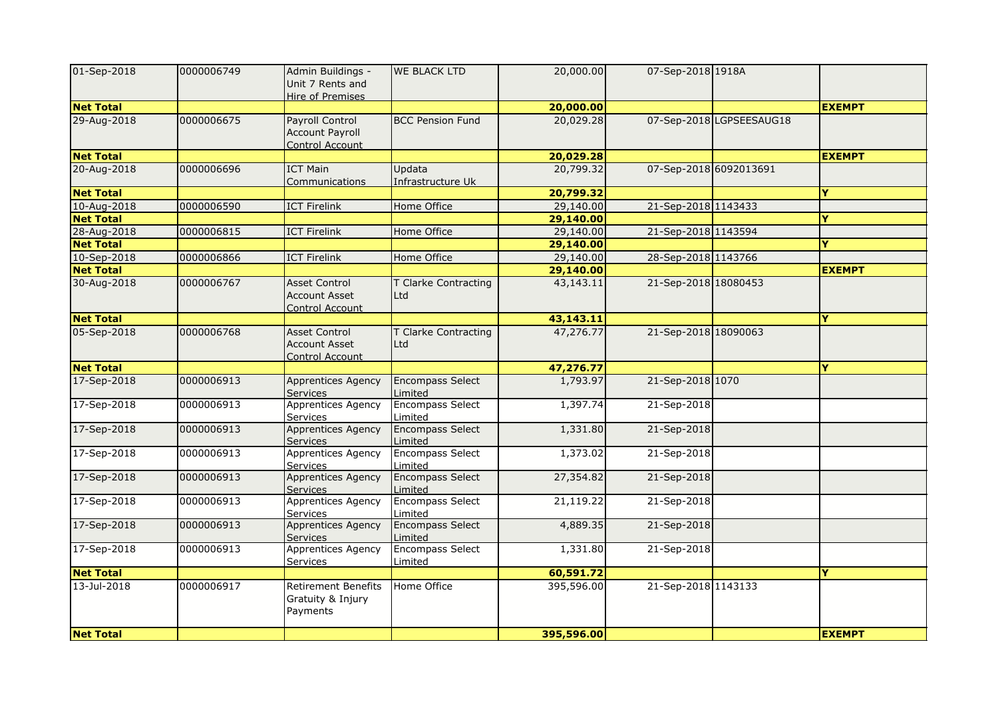| 01-Sep-2018      | 0000006749 | Admin Buildings -<br>Unit 7 Rents and<br>Hire of Premises              | <b>WE BLACK LTD</b>                | 20,000.00  | 07-Sep-2018 1918A    |                          |               |
|------------------|------------|------------------------------------------------------------------------|------------------------------------|------------|----------------------|--------------------------|---------------|
| <b>Net Total</b> |            |                                                                        |                                    | 20,000.00  |                      |                          | <b>EXEMPT</b> |
| 29-Aug-2018      | 0000006675 | <b>Payroll Control</b><br><b>Account Payroll</b><br>Control Account    | <b>BCC Pension Fund</b>            | 20,029.28  |                      | 07-Sep-2018 LGPSEESAUG18 |               |
| <b>Net Total</b> |            |                                                                        |                                    | 20,029.28  |                      |                          | <b>EXEMPT</b> |
| 20-Aug-2018      | 0000006696 | <b>ICT Main</b><br>Communications                                      | Updata<br>Infrastructure Uk        | 20,799.32  |                      | 07-Sep-2018 6092013691   |               |
| <b>Net Total</b> |            |                                                                        |                                    | 20,799.32  |                      |                          | Y             |
| 10-Aug-2018      | 0000006590 | <b>ICT Firelink</b>                                                    | Home Office                        | 29,140.00  | 21-Sep-2018 1143433  |                          |               |
| <b>Net Total</b> |            |                                                                        |                                    | 29,140.00  |                      |                          | Y             |
| 28-Aug-2018      | 0000006815 | <b>ICT Firelink</b>                                                    | Home Office                        | 29,140.00  | 21-Sep-2018 1143594  |                          |               |
| <b>Net Total</b> |            |                                                                        |                                    | 29,140.00  |                      |                          | Y             |
| 10-Sep-2018      | 0000006866 | <b>ICT Firelink</b>                                                    | Home Office                        | 29,140.00  | 28-Sep-2018 1143766  |                          |               |
| <b>Net Total</b> |            |                                                                        |                                    | 29,140.00  |                      |                          | <b>EXEMPT</b> |
| 30-Aug-2018      | 0000006767 | <b>Asset Control</b><br><b>Account Asset</b><br>Control Account        | T Clarke Contracting<br>Ltd        | 43,143.11  | 21-Sep-2018 18080453 |                          |               |
| <b>Net Total</b> |            |                                                                        |                                    | 43,143.11  |                      |                          | Y             |
| 05-Sep-2018      | 0000006768 | <b>Asset Control</b><br><b>Account Asset</b><br><b>Control Account</b> | T Clarke Contracting<br>Ltd        | 47,276.77  | 21-Sep-2018 18090063 |                          |               |
| <b>Net Total</b> |            |                                                                        |                                    | 47,276.77  |                      |                          | Y             |
| 17-Sep-2018      | 0000006913 | <b>Apprentices Agency</b><br><b>Services</b>                           | Encompass Select<br>Limited        | 1,793.97   | 21-Sep-2018 1070     |                          |               |
| 17-Sep-2018      | 0000006913 | Apprentices Agency<br><b>Services</b>                                  | <b>Encompass Select</b><br>Limited | 1,397.74   | 21-Sep-2018          |                          |               |
| 17-Sep-2018      | 0000006913 | Apprentices Agency<br><b>Services</b>                                  | <b>Encompass Select</b><br>Limited | 1,331.80   | 21-Sep-2018          |                          |               |
| 17-Sep-2018      | 0000006913 | <b>Apprentices Agency</b><br>Services                                  | <b>Encompass Select</b><br>Limited | 1,373.02   | 21-Sep-2018          |                          |               |
| 17-Sep-2018      | 0000006913 | Apprentices Agency<br><b>Services</b>                                  | <b>Encompass Select</b><br>Limited | 27,354.82  | 21-Sep-2018          |                          |               |
| 17-Sep-2018      | 0000006913 | <b>Apprentices Agency</b><br>Services                                  | <b>Encompass Select</b><br>Limited | 21,119.22  | 21-Sep-2018          |                          |               |
| 17-Sep-2018      | 0000006913 | Apprentices Agency<br><b>Services</b>                                  | <b>Encompass Select</b><br>Limited | 4,889.35   | 21-Sep-2018          |                          |               |
| 17-Sep-2018      | 0000006913 | <b>Apprentices Agency</b><br><b>Services</b>                           | <b>Encompass Select</b><br>Limited | 1,331.80   | 21-Sep-2018          |                          |               |
| <b>Net Total</b> |            |                                                                        |                                    | 60,591.72  |                      |                          | <b>Y</b>      |
| 13-Jul-2018      | 0000006917 | <b>Retirement Benefits</b><br>Gratuity & Injury<br>Payments            | Home Office                        | 395,596.00 | 21-Sep-2018 1143133  |                          |               |
| <b>Net Total</b> |            |                                                                        |                                    | 395,596.00 |                      |                          | <b>EXEMPT</b> |